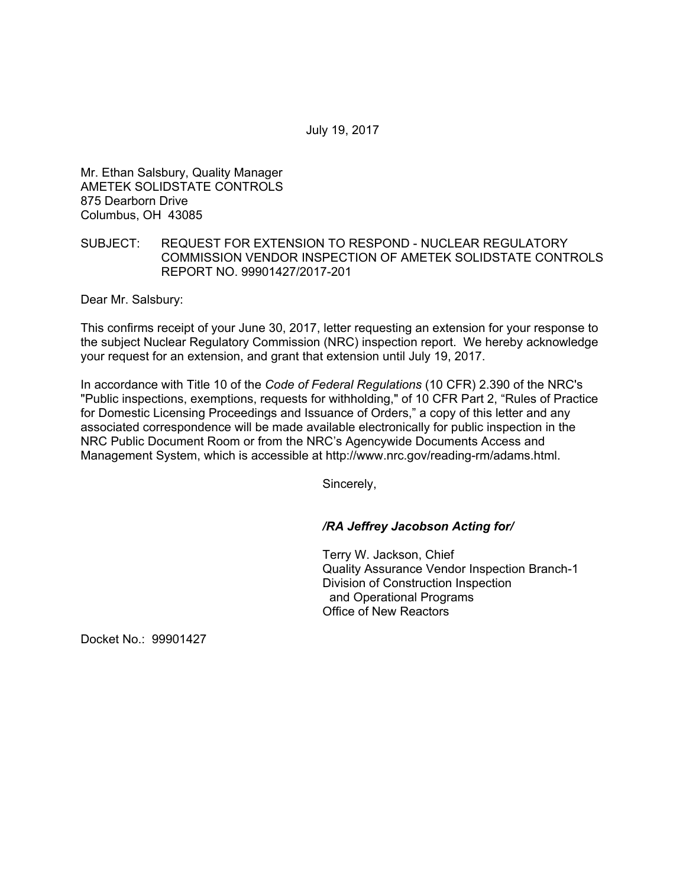July 19, 2017

Mr. Ethan Salsbury, Quality Manager AMETEK SOLIDSTATE CONTROLS 875 Dearborn Drive Columbus, OH 43085

## SUBJECT: REQUEST FOR EXTENSION TO RESPOND - NUCLEAR REGULATORY COMMISSION VENDOR INSPECTION OF AMETEK SOLIDSTATE CONTROLS REPORT NO. 99901427/2017-201

Dear Mr. Salsbury:

This confirms receipt of your June 30, 2017, letter requesting an extension for your response to the subject Nuclear Regulatory Commission (NRC) inspection report. We hereby acknowledge your request for an extension, and grant that extension until July 19, 2017.

In accordance with Title 10 of the *Code of Federal Regulations* (10 CFR) 2.390 of the NRC's "Public inspections, exemptions, requests for withholding," of 10 CFR Part 2, "Rules of Practice for Domestic Licensing Proceedings and Issuance of Orders," a copy of this letter and any associated correspondence will be made available electronically for public inspection in the NRC Public Document Room or from the NRC's Agencywide Documents Access and Management System, which is accessible at http://www.nrc.gov/reading-rm/adams.html.

Sincerely,

## */RA Jeffrey Jacobson Acting for/*

Terry W. Jackson, Chief Quality Assurance Vendor Inspection Branch-1 Division of Construction Inspection and Operational Programs Office of New Reactors

Docket No.: 99901427